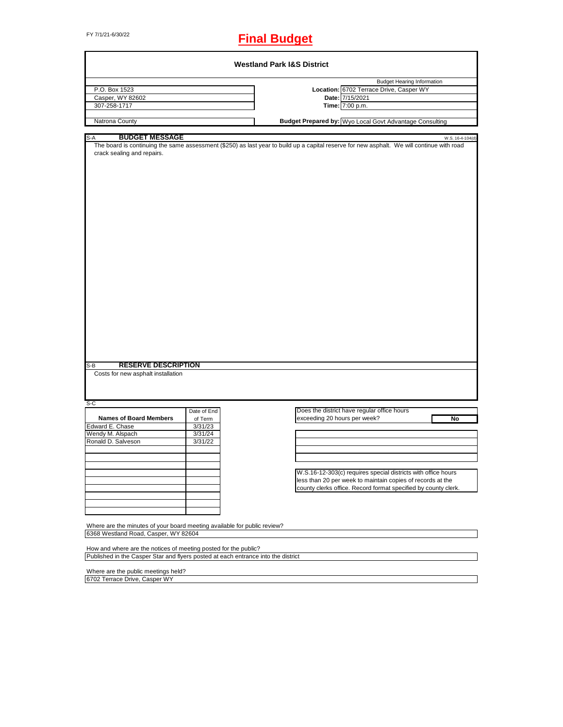# FY 7/1/21-6/30/22 **Final Budget**

|                                                                          |             | <b>Budget Hearing Information</b>                                                                                                                              |
|--------------------------------------------------------------------------|-------------|----------------------------------------------------------------------------------------------------------------------------------------------------------------|
| P.O. Box 1523                                                            |             | Location: 6702 Terrace Drive, Casper WY                                                                                                                        |
| Casper, WY 82602                                                         |             | Date: 7/15/2021                                                                                                                                                |
| 307-258-1717                                                             |             | Time: 7:00 p.m.                                                                                                                                                |
| Natrona County                                                           |             | Budget Prepared by: Wyo Local Govt Advantage Consulting                                                                                                        |
|                                                                          |             |                                                                                                                                                                |
| <b>BUDGET MESSAGE</b><br>$S-A$                                           |             | W.S. 16-4-104(d)<br>The board is continuing the same assessment (\$250) as last year to build up a capital reserve for new asphalt. We will continue with road |
| crack sealing and repairs.                                               |             |                                                                                                                                                                |
|                                                                          |             |                                                                                                                                                                |
|                                                                          |             |                                                                                                                                                                |
|                                                                          |             |                                                                                                                                                                |
|                                                                          |             |                                                                                                                                                                |
|                                                                          |             |                                                                                                                                                                |
|                                                                          |             |                                                                                                                                                                |
|                                                                          |             |                                                                                                                                                                |
|                                                                          |             |                                                                                                                                                                |
|                                                                          |             |                                                                                                                                                                |
|                                                                          |             |                                                                                                                                                                |
|                                                                          |             |                                                                                                                                                                |
|                                                                          |             |                                                                                                                                                                |
|                                                                          |             |                                                                                                                                                                |
|                                                                          |             |                                                                                                                                                                |
|                                                                          |             |                                                                                                                                                                |
|                                                                          |             |                                                                                                                                                                |
|                                                                          |             |                                                                                                                                                                |
|                                                                          |             |                                                                                                                                                                |
|                                                                          |             |                                                                                                                                                                |
|                                                                          |             |                                                                                                                                                                |
|                                                                          |             |                                                                                                                                                                |
|                                                                          |             |                                                                                                                                                                |
|                                                                          |             |                                                                                                                                                                |
|                                                                          |             |                                                                                                                                                                |
|                                                                          |             |                                                                                                                                                                |
| <b>RESERVE DESCRIPTION</b>                                               |             |                                                                                                                                                                |
| Costs for new asphalt installation                                       |             |                                                                                                                                                                |
|                                                                          |             |                                                                                                                                                                |
| $S-B$                                                                    |             |                                                                                                                                                                |
|                                                                          |             |                                                                                                                                                                |
| $S-C$                                                                    | Date of End | Does the district have regular office hours                                                                                                                    |
| <b>Names of Board Members</b>                                            | of Term     | exceeding 20 hours per week?<br>No                                                                                                                             |
| Edward E. Chase                                                          | 3/31/23     |                                                                                                                                                                |
|                                                                          | 3/31/24     |                                                                                                                                                                |
|                                                                          | 3/31/22     |                                                                                                                                                                |
|                                                                          |             |                                                                                                                                                                |
|                                                                          |             |                                                                                                                                                                |
|                                                                          |             |                                                                                                                                                                |
|                                                                          |             | W.S.16-12-303(c) requires special districts with office hours                                                                                                  |
|                                                                          |             | less than 20 per week to maintain copies of records at the                                                                                                     |
|                                                                          |             | county clerks office. Record format specified by county clerk.                                                                                                 |
| Wendy M. Alspach<br>Ronald D. Salveson                                   |             |                                                                                                                                                                |
|                                                                          |             |                                                                                                                                                                |
|                                                                          |             |                                                                                                                                                                |
|                                                                          |             |                                                                                                                                                                |
| Where are the minutes of your board meeting available for public review? |             |                                                                                                                                                                |
| 6368 Westland Road, Casper, WY 82604                                     |             |                                                                                                                                                                |

Where are the public meetings held? 6702 Terrace Drive, Casper WY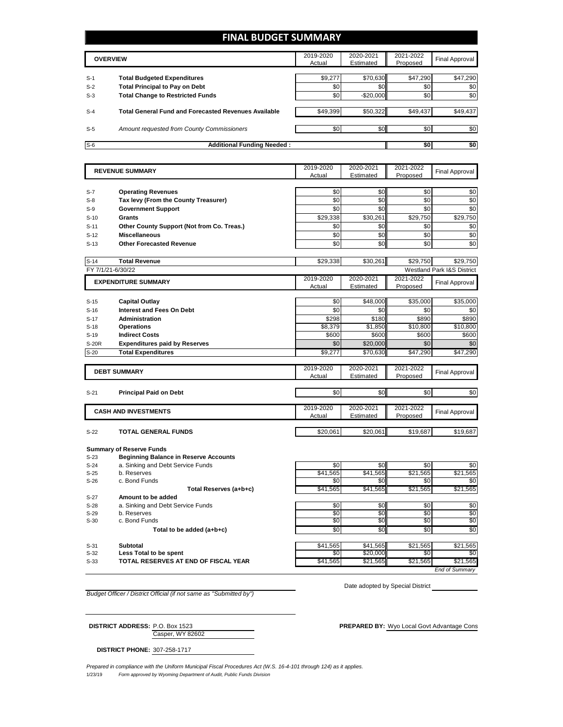### **FINAL BUDGET SUMMARY**

|       | <b>OVERVIEW</b>                                             | 2019-2020<br>Actual | 2020-2021<br>Estimated | 2021-2022<br>Proposed | <b>Final Approval</b> |
|-------|-------------------------------------------------------------|---------------------|------------------------|-----------------------|-----------------------|
| $S-1$ | <b>Total Budgeted Expenditures</b>                          | \$9,277             | \$70.630               | \$47,290              | \$47,290              |
| $S-2$ | <b>Total Principal to Pay on Debt</b>                       | \$0                 | \$0                    | \$0                   | \$0                   |
| $S-3$ | <b>Total Change to Restricted Funds</b>                     | \$0                 | $-$20,000$             | \$0                   | \$0                   |
| $S-4$ | <b>Total General Fund and Forecasted Revenues Available</b> | \$49,399            | \$50,322               | \$49,437              | \$49,437              |
| $S-5$ | Amount requested from County Commissioners                  | \$0                 | \$0                    | \$0                   | \$0                   |
| $S-6$ | <b>Additional Funding Needed:</b>                           |                     |                        | \$0                   | \$0                   |

| <b>REVENUE SUMMARY</b> |                                                                   | 2019-2020        | 2020-2021        | 2021-2022         | Final Approval                        |
|------------------------|-------------------------------------------------------------------|------------------|------------------|-------------------|---------------------------------------|
|                        |                                                                   | Actual           | Estimated        | Proposed          |                                       |
|                        |                                                                   |                  |                  |                   |                                       |
| $S-7$                  | <b>Operating Revenues</b>                                         | \$0              | \$0              | \$0               | \$0                                   |
| $S-8$                  | Tax levy (From the County Treasurer)                              | \$0              | \$0              | \$0               | \$0                                   |
| $S-9$                  | <b>Government Support</b>                                         | \$0              | \$0              | \$0               | \$0                                   |
| $S-10$                 | Grants                                                            | \$29,338         | \$30,261         | \$29,750          | \$29,750                              |
| $S-11$                 | Other County Support (Not from Co. Treas.)                        | \$0              | \$0              | \$0               | \$0                                   |
| $S-12$                 | <b>Miscellaneous</b>                                              | \$0              | \$0              | \$0               | \$0                                   |
| $S-13$                 | <b>Other Forecasted Revenue</b>                                   | \$0              | \$0              | \$0               | \$0                                   |
|                        |                                                                   |                  |                  |                   |                                       |
| $S-14$                 | <b>Total Revenue</b>                                              | \$29,338         | \$30,261         | \$29,750          | \$29,750                              |
|                        | FY 7/1/21-6/30/22                                                 |                  |                  |                   | <b>Westland Park I&amp;S District</b> |
|                        | <b>EXPENDITURE SUMMARY</b>                                        | 2019-2020        | 2020-2021        | 2021-2022         | Final Approval                        |
|                        |                                                                   | Actual           | Estimated        | Proposed          |                                       |
|                        |                                                                   |                  |                  |                   |                                       |
| $S-15$                 | <b>Capital Outlay</b>                                             | \$0              | \$48,000         | \$35,000          | \$35,000                              |
| $S-16$                 | Interest and Fees On Debt                                         | \$0              | \$0              | \$0               | \$0                                   |
| $S-17$                 | Administration                                                    | \$298            | \$180            | \$890             | \$890                                 |
| $S-18$<br>$S-19$       | <b>Operations</b><br><b>Indirect Costs</b>                        | \$8,379<br>\$600 | \$1,850<br>\$600 | \$10,800<br>\$600 | \$10,800<br>\$600                     |
| S-20R                  |                                                                   | \$0              | \$20,000         | \$0               | \$0                                   |
| $S-20$                 | <b>Expenditures paid by Reserves</b><br><b>Total Expenditures</b> | \$9,277          | \$70,630         | \$47,290          | \$47.290                              |
|                        |                                                                   |                  |                  |                   |                                       |
|                        |                                                                   | 2019-2020        | 2020-2021        | 2021-2022         |                                       |
|                        | <b>DEBT SUMMARY</b>                                               | Actual           | Estimated        | Proposed          | Final Approval                        |
|                        |                                                                   |                  |                  |                   |                                       |
| $S-21$                 | <b>Principal Paid on Debt</b>                                     | \$0              | \$0              | \$0               | \$0                                   |
|                        |                                                                   |                  |                  |                   |                                       |
|                        | <b>CASH AND INVESTMENTS</b>                                       | 2019-2020        | 2020-2021        | 2021-2022         | Final Approval                        |
|                        |                                                                   | Actual           | Estimated        | Proposed          |                                       |
|                        |                                                                   |                  |                  |                   |                                       |
| $S-22$                 | <b>TOTAL GENERAL FUNDS</b>                                        | \$20,061         | \$20,061         | \$19,687          | \$19,687                              |
|                        |                                                                   |                  |                  |                   |                                       |

**Summary of Reserve Funds**

| \$0      | \$0      |
|----------|----------|
| \$21,565 | \$21,565 |
| \$0      | \$0      |
| \$21,565 | \$21,565 |
|          |          |
| \$0      | \$0      |
| \$0      | \$0      |
| \$0      | \$0      |
| \$0      | \$0      |
| \$21,565 | \$21,565 |
| \$0      | \$0      |
| \$21.565 | \$21,565 |
|          |          |

*End of Summary*

*Budget Officer / District Official (if not same as "Submitted by")*

Date adopted by Special District

Casper, WY 82602 **DISTRICT ADDRESS:** P.O. Box 1523 **PREPARED BY:** Wyo Local Govt Advantage Cons

**DISTRICT PHONE:** 307-258-1717

1/23/19 *Form approved by Wyoming Department of Audit, Public Funds Division Prepared in compliance with the Uniform Municipal Fiscal Procedures Act (W.S. 16-4-101 through 124) as it applies.*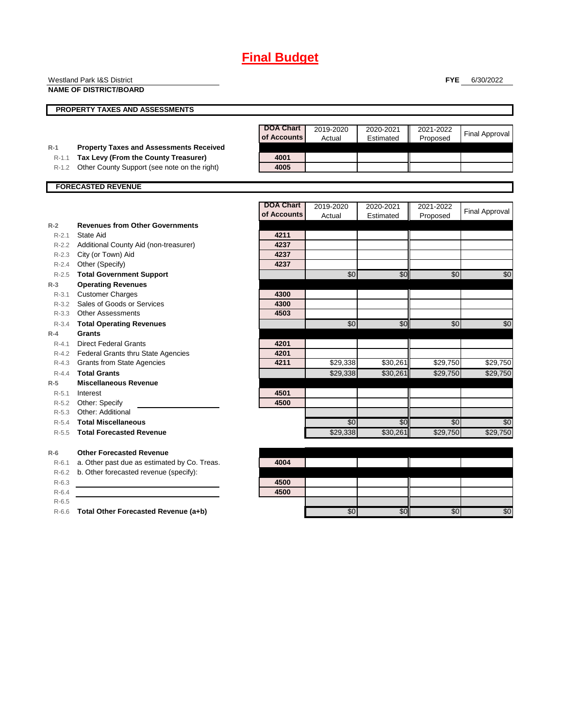|           | <b>Westland Park I&amp;S District</b>          |                  |           |           | <b>FYE</b>      | 6/30/2022             |
|-----------|------------------------------------------------|------------------|-----------|-----------|-----------------|-----------------------|
|           | <b>NAME OF DISTRICT/BOARD</b>                  |                  |           |           |                 |                       |
|           | <b>PROPERTY TAXES AND ASSESSMENTS</b>          |                  |           |           |                 |                       |
|           |                                                |                  |           |           |                 |                       |
|           |                                                | <b>DOA Chart</b> | 2019-2020 | 2020-2021 | 2021-2022       | <b>Final Approval</b> |
|           |                                                | of Accounts      | Actual    | Estimated | Proposed        |                       |
| $R-1$     | <b>Property Taxes and Assessments Received</b> |                  |           |           |                 |                       |
| $R - 1.1$ | Tax Levy (From the County Treasurer)           | 4001             |           |           |                 |                       |
| $R-1.2$   | Other County Support (see note on the right)   | 4005             |           |           |                 |                       |
|           | <b>FORECASTED REVENUE</b>                      |                  |           |           |                 |                       |
|           |                                                |                  |           |           |                 |                       |
|           |                                                | <b>DOA Chart</b> | 2019-2020 | 2020-2021 | 2021-2022       | <b>Final Approval</b> |
|           |                                                | of Accounts      | Actual    | Estimated | Proposed        |                       |
| $R-2$     | <b>Revenues from Other Governments</b>         |                  |           |           |                 |                       |
| $R - 2.1$ | State Aid                                      | 4211             |           |           |                 |                       |
| $R - 2.2$ | Additional County Aid (non-treasurer)          | 4237             |           |           |                 |                       |
| $R - 2.3$ | City (or Town) Aid                             | 4237             |           |           |                 |                       |
| $R - 2.4$ | Other (Specify)                                | 4237             |           |           |                 |                       |
| $R - 2.5$ | <b>Total Government Support</b>                |                  | \$0       | \$0       | $\overline{50}$ | \$0                   |
| $R-3$     | <b>Operating Revenues</b>                      |                  |           |           |                 |                       |
| $R - 3.1$ | <b>Customer Charges</b>                        | 4300             |           |           |                 |                       |
| $R - 3.2$ | Sales of Goods or Services                     | 4300             |           |           |                 |                       |
| $R - 3.3$ | <b>Other Assessments</b>                       | 4503             |           |           |                 |                       |
| $R - 3.4$ | <b>Total Operating Revenues</b>                |                  | \$0       | \$0       | \$0             | \$0                   |
| $R-4$     | <b>Grants</b>                                  |                  |           |           |                 |                       |
| $R - 4.1$ | <b>Direct Federal Grants</b>                   | 4201             |           |           |                 |                       |
| $R - 4.2$ | <b>Federal Grants thru State Agencies</b>      | 4201             |           |           |                 |                       |
| R-4.3     | <b>Grants from State Agencies</b>              | 4211             | \$29,338  | \$30,261  | \$29,750        | \$29,750              |
| $R - 4.4$ | <b>Total Grants</b>                            |                  | \$29,338  | \$30,261  | \$29,750        | \$29,750              |
| $R-5$     | <b>Miscellaneous Revenue</b>                   |                  |           |           |                 |                       |
| $R - 5.1$ | Interest                                       | 4501             |           |           |                 |                       |
| R-5.2     | Other: Specify                                 | 4500             |           |           |                 |                       |
| $R - 5.3$ | Other: Additional                              |                  |           |           |                 |                       |
| $R-5.4$   | <b>Total Miscellaneous</b>                     |                  | \$0       | \$0       | \$0             | \$0                   |
| $R-5.5$   | <b>Total Forecasted Revenue</b>                |                  | \$29,338  | \$30,261  | \$29,750        | \$29,750              |
| $R-6$     | <b>Other Forecasted Revenue</b>                |                  |           |           |                 |                       |
| $R-6.1$   | a. Other past due as estimated by Co. Treas.   | 4004             |           |           |                 |                       |
| R-6.2     | b. Other forecasted revenue (specify):         |                  |           |           |                 |                       |
| $R-6.3$   |                                                | 4500             |           |           |                 |                       |
| $R-6.4$   |                                                | 4500             |           |           |                 |                       |
|           |                                                |                  |           |           |                 |                       |

R-6.5

R-6.6 **Total Other Forecasted Revenue (a+b)** \$0 \$0 \$0 \$0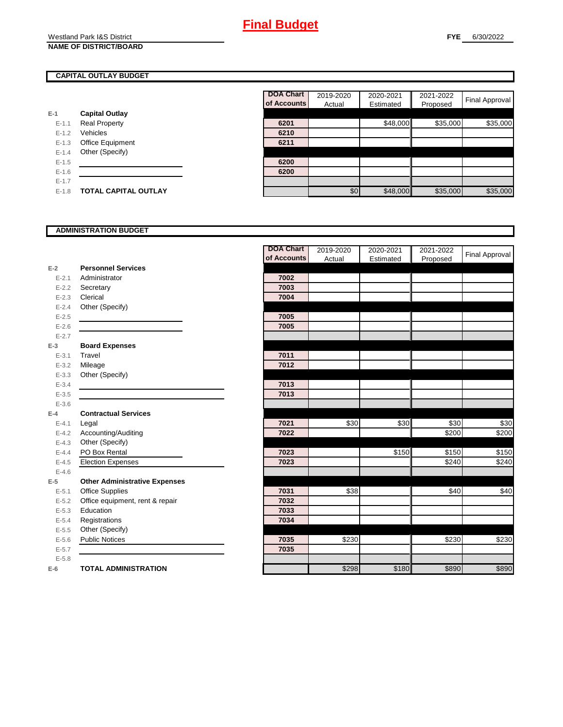Westland Park I&S District **NAME OF DISTRICT/BOARD**

### **CAPITAL OUTLAY BUDGET**

|           |                             | UI ACCUL |
|-----------|-----------------------------|----------|
| E-1       | <b>Capital Outlay</b>       |          |
| $E - 1.1$ | <b>Real Property</b>        | 6201     |
| $E - 1.2$ | Vehicles                    | 6210     |
| $E-1.3$   | Office Equipment            | 6211     |
| $E - 1.4$ | Other (Specify)             |          |
| $E-1.5$   |                             | 6200     |
| $E-1.6$   |                             | 6200     |
| $E - 1.7$ |                             |          |
| $E-1.8$   | <b>TOTAL CAPITAL OUTLAY</b> |          |

|           |                             | <b>DOA Chart</b> | 2019-2020 | 2020-2021 | 2021-2022 |                       |
|-----------|-----------------------------|------------------|-----------|-----------|-----------|-----------------------|
|           |                             | of Accounts      | Actual    | Estimated | Proposed  | <b>Final Approval</b> |
|           | <b>Capital Outlay</b>       |                  |           |           |           |                       |
| $E - 1.1$ | <b>Real Property</b>        | 6201             |           | \$48,000  | \$35,000  | \$35,000              |
| $E-1.2$   | Vehicles                    | 6210             |           |           |           |                       |
| $E - 1.3$ | Office Equipment            | 6211             |           |           |           |                       |
| $E-1.4$   | Other (Specify)             |                  |           |           |           |                       |
| $E-1.5$   |                             | 6200             |           |           |           |                       |
| $E-1.6$   |                             | 6200             |           |           |           |                       |
| $E - 1.7$ |                             |                  |           |           |           |                       |
| $E-1.8$   | <b>TOTAL CAPITAL OUTLAY</b> |                  | \$0       | \$48,000  | \$35,000  | \$35,000              |

### **ADMINISTRATION BUDGET**

|           |                                      | <b>DOA Chart</b> | 2019-2020 | 2020-2021 | 2021-2022 |                       |
|-----------|--------------------------------------|------------------|-----------|-----------|-----------|-----------------------|
|           |                                      | of Accounts      | Actual    | Estimated | Proposed  | <b>Final Approval</b> |
| $E-2$     | <b>Personnel Services</b>            |                  |           |           |           |                       |
| $E - 2.1$ | Administrator                        | 7002             |           |           |           |                       |
| $E - 2.2$ | Secretary                            | 7003             |           |           |           |                       |
| $E - 2.3$ | Clerical                             | 7004             |           |           |           |                       |
| $E - 2.4$ | Other (Specify)                      |                  |           |           |           |                       |
| $E-2.5$   |                                      | 7005             |           |           |           |                       |
| $E-2.6$   |                                      | 7005             |           |           |           |                       |
| $E - 2.7$ |                                      |                  |           |           |           |                       |
| $E-3$     | <b>Board Expenses</b>                |                  |           |           |           |                       |
| $E - 3.1$ | Travel                               | 7011             |           |           |           |                       |
| $E - 3.2$ | Mileage                              | 7012             |           |           |           |                       |
| $E - 3.3$ | Other (Specify)                      |                  |           |           |           |                       |
| $E - 3.4$ |                                      | 7013             |           |           |           |                       |
| $E-3.5$   |                                      | 7013             |           |           |           |                       |
| $E - 3.6$ |                                      |                  |           |           |           |                       |
| $E-4$     | <b>Contractual Services</b>          |                  |           |           |           |                       |
| $E - 4.1$ | Legal                                | 7021             | \$30      | \$30      | \$30      | \$30                  |
| $E-4.2$   | Accounting/Auditing                  | 7022             |           |           | \$200     | \$200                 |
| $E-4.3$   | Other (Specify)                      |                  |           |           |           |                       |
| $E-4.4$   | PO Box Rental                        | 7023             |           | \$150     | \$150     | $\overline{$}150$     |
| $E - 4.5$ | <b>Election Expenses</b>             | 7023             |           |           | \$240     | \$240                 |
| $E-4.6$   |                                      |                  |           |           |           |                       |
| $E-5$     | <b>Other Administrative Expenses</b> |                  |           |           |           |                       |
| $E - 5.1$ | <b>Office Supplies</b>               | 7031             | \$38      |           | \$40      | \$40                  |
| $E-5.2$   | Office equipment, rent & repair      | 7032             |           |           |           |                       |
| $E - 5.3$ | Education                            | 7033             |           |           |           |                       |
| $E - 5.4$ | Registrations                        | 7034             |           |           |           |                       |
| $E-5.5$   | Other (Specify)                      |                  |           |           |           |                       |
| $E-5.6$   | <b>Public Notices</b>                | 7035             | \$230     |           | \$230     | \$230                 |
| $E - 5.7$ |                                      | 7035             |           |           |           |                       |
| $E - 5.8$ |                                      |                  |           |           |           |                       |
| $E-6$     | <b>TOTAL ADMINISTRATION</b>          |                  | \$298     | \$180     | \$890     | \$890                 |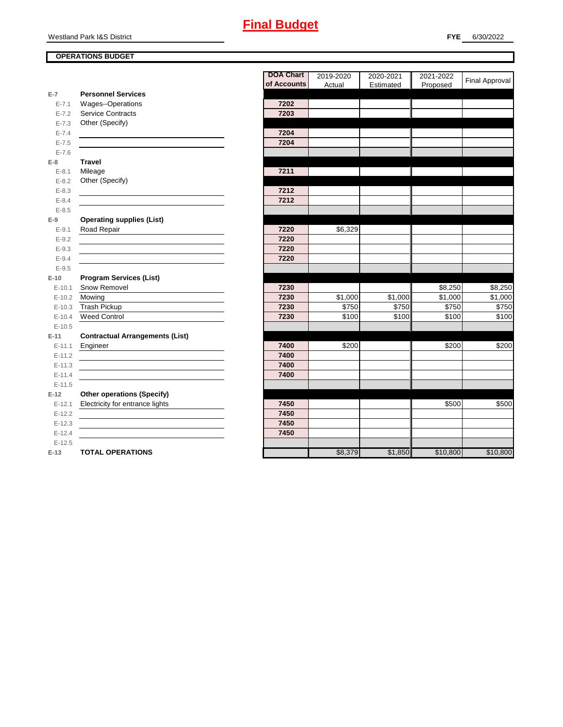Westland Park I&S District

### **OPERATIONS BUDGET**

|            |                                        | <b>DOA Chart</b> | 2019-2020 | 2020-2021 | 2021-2022 | <b>Final Approval</b> |
|------------|----------------------------------------|------------------|-----------|-----------|-----------|-----------------------|
|            |                                        | of Accounts      | Actual    | Estimated | Proposed  |                       |
| $E-7$      | <b>Personnel Services</b>              |                  |           |           |           |                       |
| $E - 7.1$  | Wages--Operations                      | 7202             |           |           |           |                       |
| $E - 7.2$  | <b>Service Contracts</b>               | 7203             |           |           |           |                       |
| $E - 7.3$  | Other (Specify)                        |                  |           |           |           |                       |
| $E - 7.4$  |                                        | 7204             |           |           |           |                       |
| $E - 7.5$  |                                        | 7204             |           |           |           |                       |
| $E - 7.6$  |                                        |                  |           |           |           |                       |
| $E-8$      | <b>Travel</b>                          |                  |           |           |           |                       |
| $E - 8.1$  | Mileage                                | 7211             |           |           |           |                       |
| $E - 8.2$  | Other (Specify)                        |                  |           |           |           |                       |
| $E - 8.3$  |                                        | 7212             |           |           |           |                       |
| $E - 8.4$  |                                        | 7212             |           |           |           |                       |
| $E - 8.5$  |                                        |                  |           |           |           |                       |
| $E-9$      | <b>Operating supplies (List)</b>       |                  |           |           |           |                       |
| $E - 9.1$  | Road Repair                            | 7220             | \$6,329   |           |           |                       |
| $E - 9.2$  |                                        | 7220             |           |           |           |                       |
| $E - 9.3$  |                                        | 7220             |           |           |           |                       |
| $E - 9.4$  |                                        | 7220             |           |           |           |                       |
| $E-9.5$    |                                        |                  |           |           |           |                       |
| $E-10$     | <b>Program Services (List)</b>         |                  |           |           |           |                       |
| $E - 10.1$ | Snow Removel                           | 7230             |           |           | \$8,250   | \$8,250               |
| $E-10.2$   | Mowing                                 | 7230             | \$1,000   | \$1,000   | \$1,000   | \$1,000               |
| $E-10.3$   | Trash Pickup                           | 7230             | \$750     | \$750     | \$750     | \$750                 |
| $E-10.4$   | <b>Weed Control</b>                    | 7230             | \$100     | \$100     | \$100     | \$100                 |
| $E-10.5$   |                                        |                  |           |           |           |                       |
| $E-11$     | <b>Contractual Arrangements (List)</b> |                  |           |           |           |                       |
| $E-11.1$   | Engineer                               | 7400             | \$200     |           | \$200     | \$200                 |
| $E-11.2$   |                                        | 7400             |           |           |           |                       |
| $E - 11.3$ |                                        | 7400             |           |           |           |                       |
| $E-11.4$   |                                        | 7400             |           |           |           |                       |
| $E-11.5$   |                                        |                  |           |           |           |                       |
| $E-12$     | <b>Other operations (Specify)</b>      |                  |           |           |           |                       |
| $E-12.1$   | Electricity for entrance lights        | 7450             |           |           | \$500     | \$500                 |
| $E-12.2$   |                                        | 7450             |           |           |           |                       |
| $E-12.3$   |                                        | 7450             |           |           |           |                       |
| $E-12.4$   |                                        | 7450             |           |           |           |                       |
| $E-12.5$   |                                        |                  |           |           |           |                       |
| $E-13$     | <b>TOTAL OPERATIONS</b>                |                  | \$8,379   | \$1,850   | \$10,800  | \$10,800              |
|            |                                        |                  |           |           |           |                       |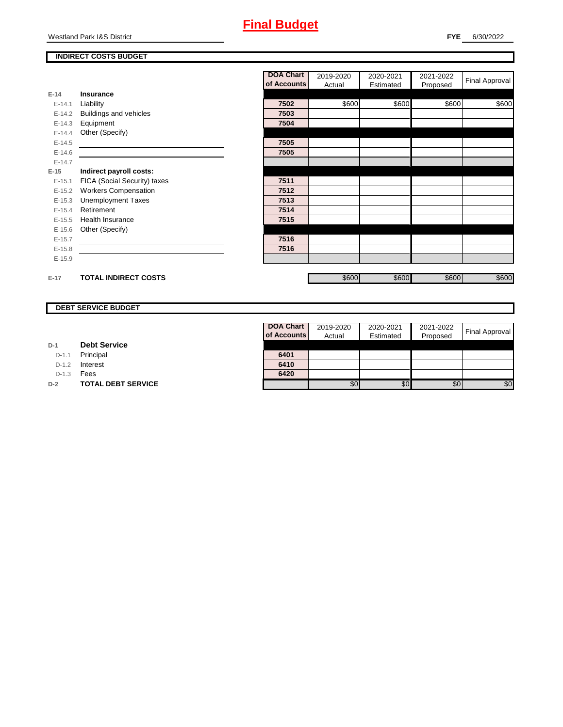Westland Park I&S District

### **INDIRECT COSTS BUDGET**

|          |                              | <b>DOA Chart</b> | 2019-2020 | 2020-2021 | 2021-2022 | <b>Final Approval</b> |
|----------|------------------------------|------------------|-----------|-----------|-----------|-----------------------|
|          |                              | of Accounts      | Actual    | Estimated | Proposed  |                       |
| $E-14$   | Insurance                    |                  |           |           |           |                       |
| $E-14.1$ | Liability                    | 7502             | \$600     | \$600     | \$600     | \$600                 |
| $E-14.2$ | Buildings and vehicles       | 7503             |           |           |           |                       |
| $E-14.3$ | Equipment                    | 7504             |           |           |           |                       |
| $E-14.4$ | Other (Specify)              |                  |           |           |           |                       |
| $E-14.5$ |                              | 7505             |           |           |           |                       |
| $E-14.6$ |                              | 7505             |           |           |           |                       |
| $E-14.7$ |                              |                  |           |           |           |                       |
| $E-15$   | Indirect payroll costs:      |                  |           |           |           |                       |
| $E-15.1$ | FICA (Social Security) taxes | 7511             |           |           |           |                       |
| $E-15.2$ | <b>Workers Compensation</b>  | 7512             |           |           |           |                       |
| $E-15.3$ | <b>Unemployment Taxes</b>    | 7513             |           |           |           |                       |
| $E-15.4$ | Retirement                   | 7514             |           |           |           |                       |
| $E-15.5$ | <b>Health Insurance</b>      | 7515             |           |           |           |                       |
| $E-15.6$ | Other (Specify)              |                  |           |           |           |                       |
| $E-15.7$ |                              | 7516             |           |           |           |                       |
| $E-15.8$ |                              | 7516             |           |           |           |                       |
| $E-15.9$ |                              |                  |           |           |           |                       |
|          |                              |                  |           |           |           |                       |
| $E-17$   | <b>TOTAL INDIRECT COSTS</b>  |                  | \$600     | \$600     | \$600     | \$600                 |

#### **DEBT SERVICE BUDGET**

| D-1 | <b>Debt Service</b> |  |  |
|-----|---------------------|--|--|
|-----|---------------------|--|--|

D-1.1 Principal

D-1.2 **Interest** 

D-1.3 **Fees** 

**D-2 TOTAL DEBT SERVICE** 

| DOA Chart   | 2019-2020 | 2020-2021 | 2021-2022 |                       |
|-------------|-----------|-----------|-----------|-----------------------|
| of Accounts | Actual    | Estimated | Proposed  | <b>Final Approval</b> |
|             |           |           |           |                       |
| 6401        |           |           |           |                       |
| 6410        |           |           |           |                       |
| 6420        |           |           |           |                       |
|             |           |           | 80        |                       |